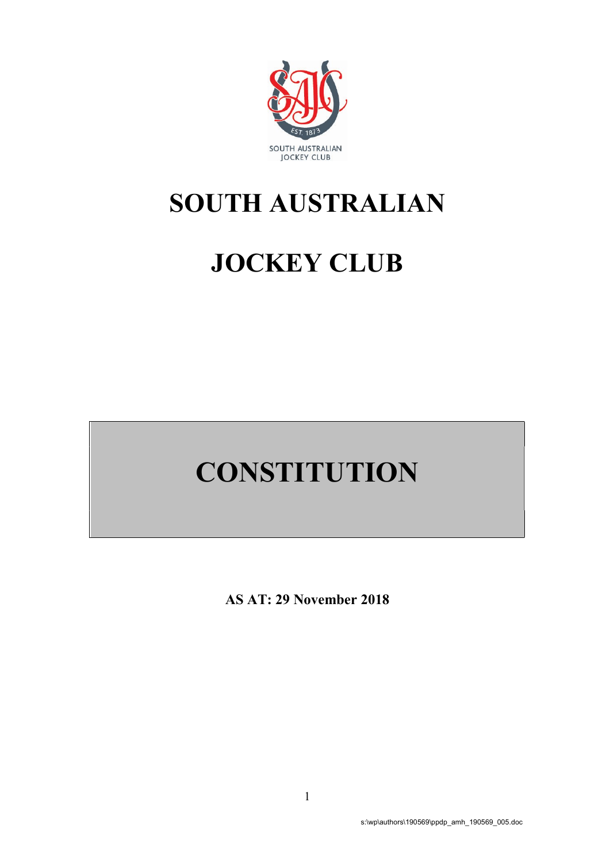

# SOUTH AUSTRALIAN

# JOCKEY CLUB

# **CONSTITUTION**

AS AT: 29 November 2018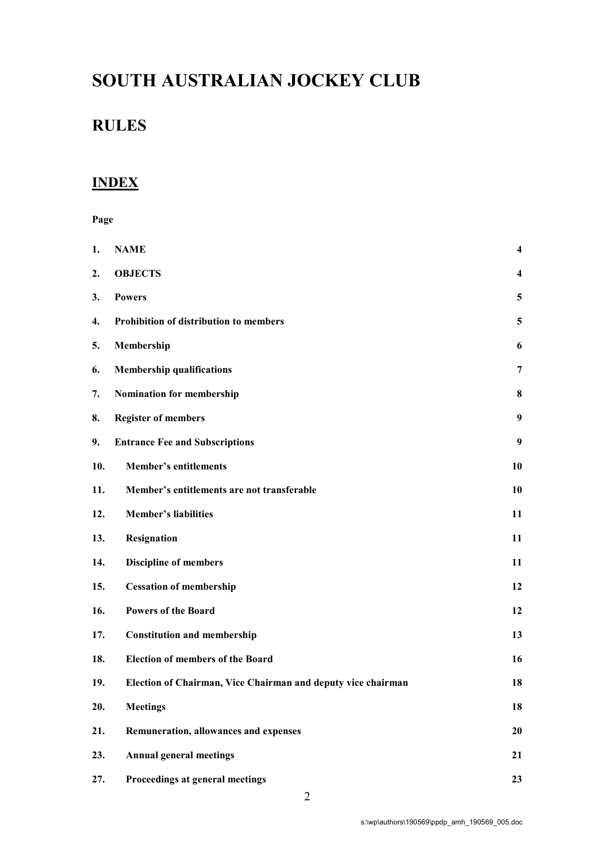# SOUTH AUSTRALIAN JOCKEY CLUB

# RULES

# **INDEX**

Page

| 1.  | <b>NAME</b>                                                  | $\overline{\mathbf{4}}$ |
|-----|--------------------------------------------------------------|-------------------------|
| 2.  | <b>OBJECTS</b>                                               | $\overline{\mathbf{4}}$ |
| 3.  | <b>Powers</b>                                                | 5                       |
| 4.  | Prohibition of distribution to members                       | 5                       |
| 5.  | Membership                                                   | 6                       |
| 6.  | <b>Membership qualifications</b>                             | 7                       |
| 7.  | Nomination for membership                                    | 8                       |
| 8.  | <b>Register of members</b>                                   | 9                       |
| 9.  | <b>Entrance Fee and Subscriptions</b>                        | 9                       |
| 10. | <b>Member's entitlements</b>                                 | 10                      |
| 11. | Member's entitlements are not transferable                   | 10                      |
| 12. | <b>Member's liabilities</b>                                  | 11                      |
| 13. | Resignation                                                  | 11                      |
| 14. | <b>Discipline of members</b>                                 | 11                      |
| 15. | <b>Cessation of membership</b>                               | 12                      |
| 16. | <b>Powers of the Board</b>                                   | 12                      |
| 17. | <b>Constitution and membership</b>                           | 13                      |
| 18. | <b>Election of members of the Board</b>                      | 16                      |
| 19. | Election of Chairman, Vice Chairman and deputy vice chairman | 18                      |
| 20. | <b>Meetings</b>                                              | 18                      |
| 21. | Remuneration, allowances and expenses                        | 20                      |
| 23. | <b>Annual general meetings</b>                               | 21                      |
| 27. | Proceedings at general meetings                              | 23                      |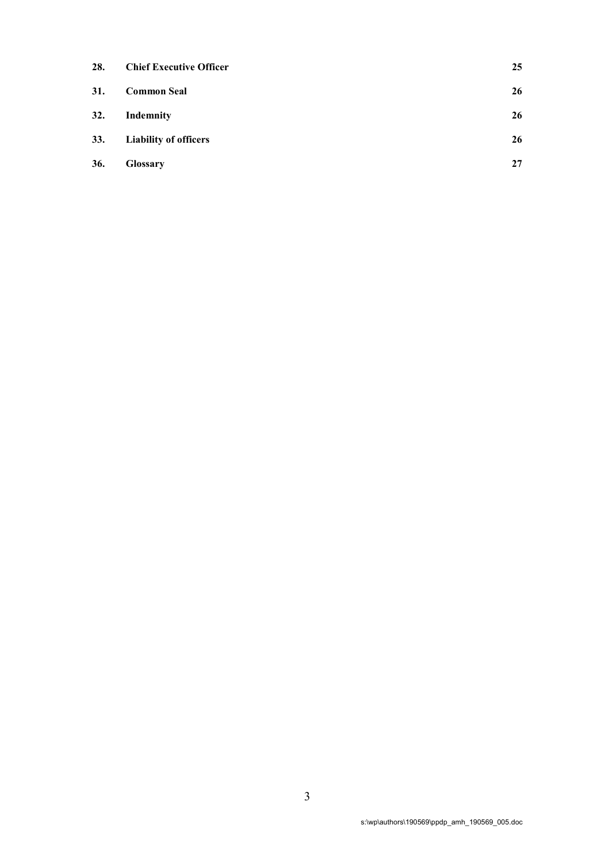| 28. | <b>Chief Executive Officer</b> | 25 |
|-----|--------------------------------|----|
| 31. | <b>Common Seal</b>             | 26 |
| 32. | Indemnity                      | 26 |
| 33. | <b>Liability of officers</b>   | 26 |
| 36. | <b>Glossary</b>                | 27 |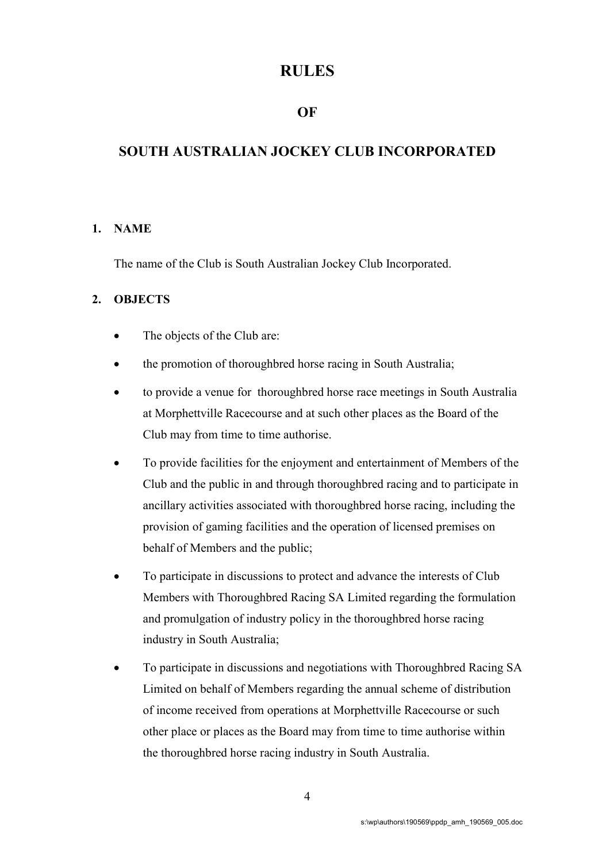# RULES

# OF

# SOUTH AUSTRALIAN JOCKEY CLUB INCORPORATED

# 1. NAME

The name of the Club is South Australian Jockey Club Incorporated.

#### 2. OBJECTS

- The objects of the Club are:
- the promotion of thoroughbred horse racing in South Australia;
- to provide a venue for thoroughbred horse race meetings in South Australia at Morphettville Racecourse and at such other places as the Board of the Club may from time to time authorise.
- To provide facilities for the enjoyment and entertainment of Members of the Club and the public in and through thoroughbred racing and to participate in ancillary activities associated with thoroughbred horse racing, including the provision of gaming facilities and the operation of licensed premises on behalf of Members and the public;
- To participate in discussions to protect and advance the interests of Club Members with Thoroughbred Racing SA Limited regarding the formulation and promulgation of industry policy in the thoroughbred horse racing industry in South Australia;
- To participate in discussions and negotiations with Thoroughbred Racing SA Limited on behalf of Members regarding the annual scheme of distribution of income received from operations at Morphettville Racecourse or such other place or places as the Board may from time to time authorise within the thoroughbred horse racing industry in South Australia.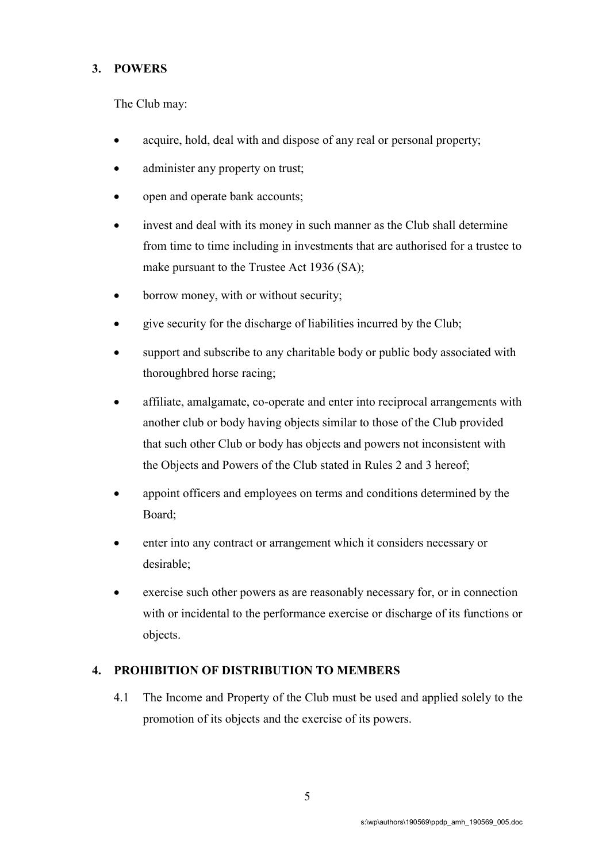# 3. POWERS

The Club may:

- acquire, hold, deal with and dispose of any real or personal property;
- administer any property on trust;
- open and operate bank accounts;
- invest and deal with its money in such manner as the Club shall determine from time to time including in investments that are authorised for a trustee to make pursuant to the Trustee Act 1936 (SA);
- borrow money, with or without security;
- give security for the discharge of liabilities incurred by the Club;
- support and subscribe to any charitable body or public body associated with thoroughbred horse racing;
- affiliate, amalgamate, co-operate and enter into reciprocal arrangements with another club or body having objects similar to those of the Club provided that such other Club or body has objects and powers not inconsistent with the Objects and Powers of the Club stated in Rules 2 and 3 hereof;
- appoint officers and employees on terms and conditions determined by the Board;
- enter into any contract or arrangement which it considers necessary or desirable;
- exercise such other powers as are reasonably necessary for, or in connection with or incidental to the performance exercise or discharge of its functions or objects.

# 4. PROHIBITION OF DISTRIBUTION TO MEMBERS

4.1 The Income and Property of the Club must be used and applied solely to the promotion of its objects and the exercise of its powers.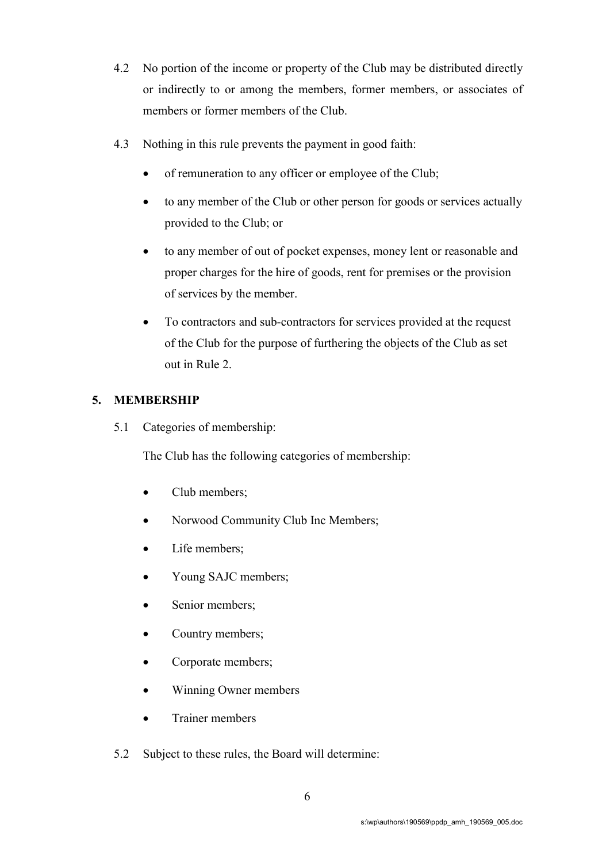- 4.2 No portion of the income or property of the Club may be distributed directly or indirectly to or among the members, former members, or associates of members or former members of the Club.
- 4.3 Nothing in this rule prevents the payment in good faith:
	- of remuneration to any officer or employee of the Club;
	- to any member of the Club or other person for goods or services actually provided to the Club; or
	- to any member of out of pocket expenses, money lent or reasonable and proper charges for the hire of goods, rent for premises or the provision of services by the member.
	- To contractors and sub-contractors for services provided at the request of the Club for the purpose of furthering the objects of the Club as set out in Rule 2.

# 5. MEMBERSHIP

5.1 Categories of membership:

The Club has the following categories of membership:

- Club members;
- Norwood Community Club Inc Members;
- Life members:
- Young SAJC members;
- Senior members;
- Country members;
- Corporate members;
- Winning Owner members
- Trainer members
- 5.2 Subject to these rules, the Board will determine: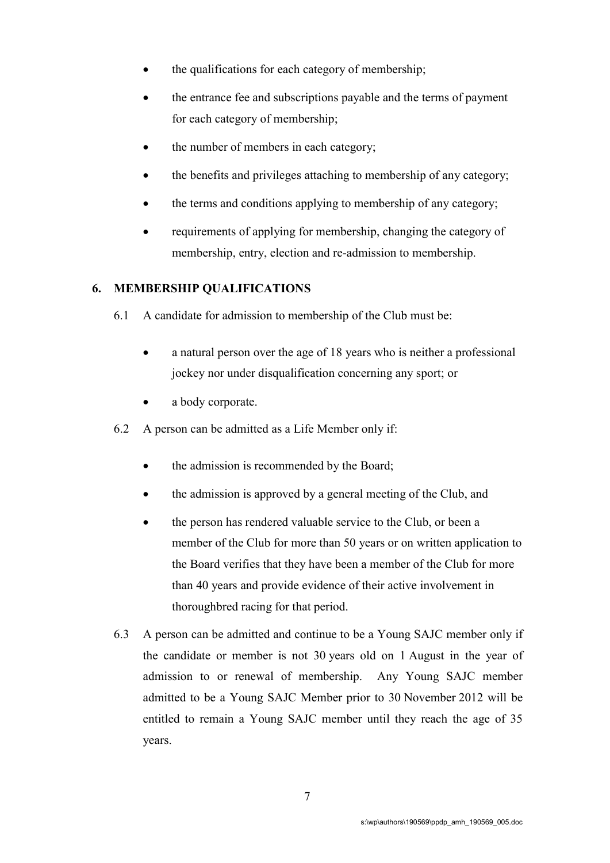- the qualifications for each category of membership;
- the entrance fee and subscriptions payable and the terms of payment for each category of membership;
- the number of members in each category;
- the benefits and privileges attaching to membership of any category;
- the terms and conditions applying to membership of any category;
- requirements of applying for membership, changing the category of membership, entry, election and re-admission to membership.

# 6. MEMBERSHIP QUALIFICATIONS

- 6.1 A candidate for admission to membership of the Club must be:
	- a natural person over the age of 18 years who is neither a professional jockey nor under disqualification concerning any sport; or
	- a body corporate.
- 6.2 A person can be admitted as a Life Member only if:
	- the admission is recommended by the Board;
	- the admission is approved by a general meeting of the Club, and
	- the person has rendered valuable service to the Club, or been a member of the Club for more than 50 years or on written application to the Board verifies that they have been a member of the Club for more than 40 years and provide evidence of their active involvement in thoroughbred racing for that period.
- 6.3 A person can be admitted and continue to be a Young SAJC member only if the candidate or member is not 30 years old on 1 August in the year of admission to or renewal of membership. Any Young SAJC member admitted to be a Young SAJC Member prior to 30 November 2012 will be entitled to remain a Young SAJC member until they reach the age of 35 years.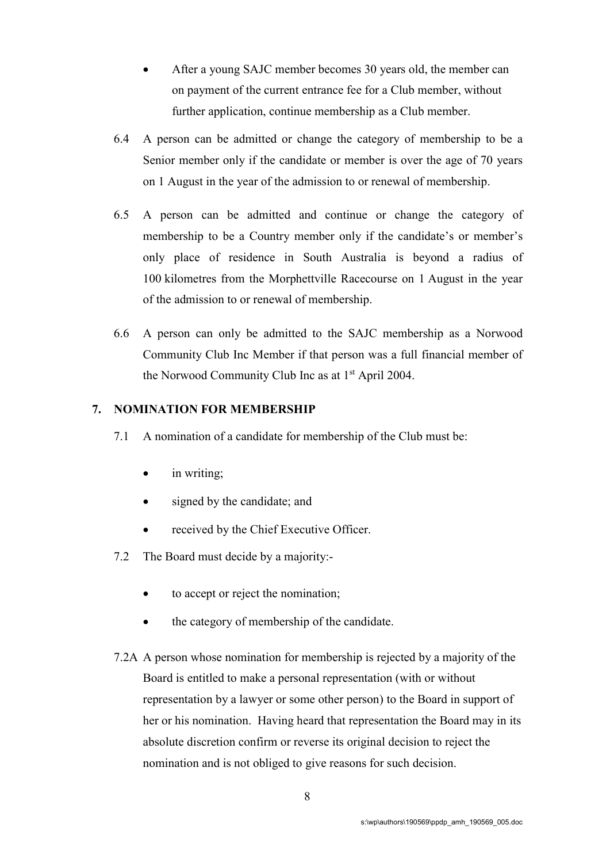- After a young SAJC member becomes 30 years old, the member can on payment of the current entrance fee for a Club member, without further application, continue membership as a Club member.
- 6.4 A person can be admitted or change the category of membership to be a Senior member only if the candidate or member is over the age of 70 years on 1 August in the year of the admission to or renewal of membership.
- 6.5 A person can be admitted and continue or change the category of membership to be a Country member only if the candidate's or member's only place of residence in South Australia is beyond a radius of 100 kilometres from the Morphettville Racecourse on 1 August in the year of the admission to or renewal of membership.
- 6.6 A person can only be admitted to the SAJC membership as a Norwood Community Club Inc Member if that person was a full financial member of the Norwood Community Club Inc as at 1st April 2004.

#### 7. NOMINATION FOR MEMBERSHIP

- 7.1 A nomination of a candidate for membership of the Club must be:
	- in writing;
	- signed by the candidate; and
	- received by the Chief Executive Officer.
- 7.2 The Board must decide by a majority:-
	- to accept or reject the nomination;
	- the category of membership of the candidate.
- 7.2A A person whose nomination for membership is rejected by a majority of the Board is entitled to make a personal representation (with or without representation by a lawyer or some other person) to the Board in support of her or his nomination. Having heard that representation the Board may in its absolute discretion confirm or reverse its original decision to reject the nomination and is not obliged to give reasons for such decision.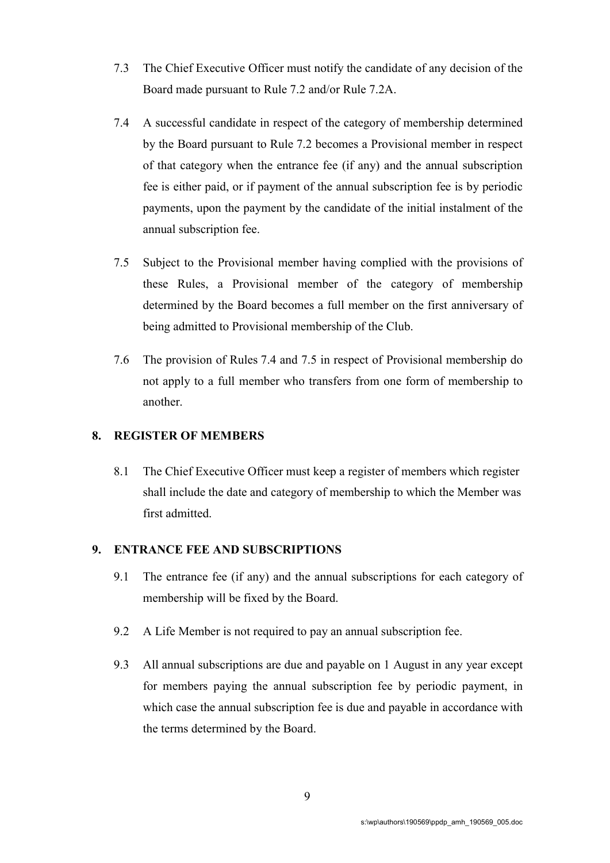- 7.3 The Chief Executive Officer must notify the candidate of any decision of the Board made pursuant to Rule 7.2 and/or Rule 7.2A.
- 7.4 A successful candidate in respect of the category of membership determined by the Board pursuant to Rule 7.2 becomes a Provisional member in respect of that category when the entrance fee (if any) and the annual subscription fee is either paid, or if payment of the annual subscription fee is by periodic payments, upon the payment by the candidate of the initial instalment of the annual subscription fee.
- 7.5 Subject to the Provisional member having complied with the provisions of these Rules, a Provisional member of the category of membership determined by the Board becomes a full member on the first anniversary of being admitted to Provisional membership of the Club.
- 7.6 The provision of Rules 7.4 and 7.5 in respect of Provisional membership do not apply to a full member who transfers from one form of membership to another.

## 8. REGISTER OF MEMBERS

8.1 The Chief Executive Officer must keep a register of members which register shall include the date and category of membership to which the Member was first admitted.

# 9. ENTRANCE FEE AND SUBSCRIPTIONS

- 9.1 The entrance fee (if any) and the annual subscriptions for each category of membership will be fixed by the Board.
- 9.2 A Life Member is not required to pay an annual subscription fee.
- 9.3 All annual subscriptions are due and payable on 1 August in any year except for members paying the annual subscription fee by periodic payment, in which case the annual subscription fee is due and payable in accordance with the terms determined by the Board.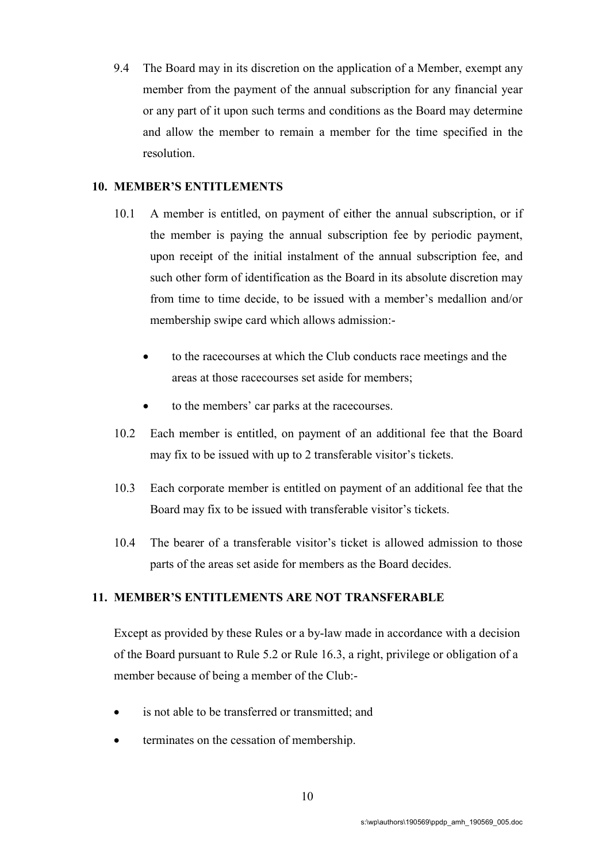9.4 The Board may in its discretion on the application of a Member, exempt any member from the payment of the annual subscription for any financial year or any part of it upon such terms and conditions as the Board may determine and allow the member to remain a member for the time specified in the resolution.

# 10. MEMBER'S ENTITLEMENTS

- 10.1 A member is entitled, on payment of either the annual subscription, or if the member is paying the annual subscription fee by periodic payment, upon receipt of the initial instalment of the annual subscription fee, and such other form of identification as the Board in its absolute discretion may from time to time decide, to be issued with a member's medallion and/or membership swipe card which allows admission:
	- to the racecourses at which the Club conducts race meetings and the areas at those racecourses set aside for members;
	- to the members' car parks at the racecourses.
- 10.2 Each member is entitled, on payment of an additional fee that the Board may fix to be issued with up to 2 transferable visitor's tickets.
- 10.3 Each corporate member is entitled on payment of an additional fee that the Board may fix to be issued with transferable visitor's tickets.
- 10.4 The bearer of a transferable visitor's ticket is allowed admission to those parts of the areas set aside for members as the Board decides.

## 11. MEMBER'S ENTITLEMENTS ARE NOT TRANSFERABLE

Except as provided by these Rules or a by-law made in accordance with a decision of the Board pursuant to Rule 5.2 or Rule 16.3, a right, privilege or obligation of a member because of being a member of the Club:-

- is not able to be transferred or transmitted; and
- terminates on the cessation of membership.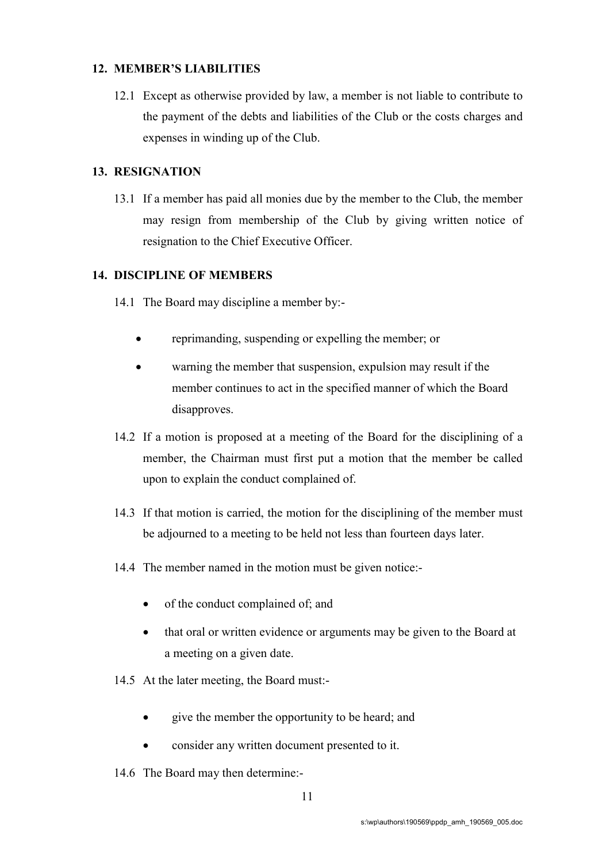# 12. MEMBER'S LIABILITIES

12.1 Except as otherwise provided by law, a member is not liable to contribute to the payment of the debts and liabilities of the Club or the costs charges and expenses in winding up of the Club.

# 13. RESIGNATION

13.1 If a member has paid all monies due by the member to the Club, the member may resign from membership of the Club by giving written notice of resignation to the Chief Executive Officer.

#### 14. DISCIPLINE OF MEMBERS

- 14.1 The Board may discipline a member by:-
	- reprimanding, suspending or expelling the member; or
	- warning the member that suspension, expulsion may result if the member continues to act in the specified manner of which the Board disapproves.
- 14.2 If a motion is proposed at a meeting of the Board for the disciplining of a member, the Chairman must first put a motion that the member be called upon to explain the conduct complained of.
- 14.3 If that motion is carried, the motion for the disciplining of the member must be adjourned to a meeting to be held not less than fourteen days later.
- 14.4 The member named in the motion must be given notice:-
	- of the conduct complained of; and
	- that oral or written evidence or arguments may be given to the Board at a meeting on a given date.
- 14.5 At the later meeting, the Board must:
	- give the member the opportunity to be heard; and
	- consider any written document presented to it.
- 14.6 The Board may then determine:-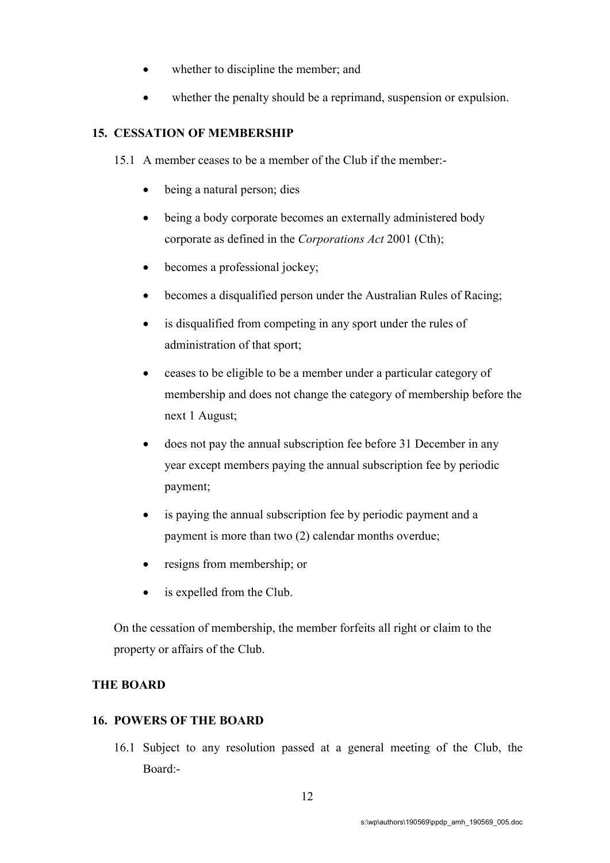- whether to discipline the member; and
- whether the penalty should be a reprimand, suspension or expulsion.

#### 15. CESSATION OF MEMBERSHIP

- 15.1 A member ceases to be a member of the Club if the member:
	- being a natural person; dies
	- being a body corporate becomes an externally administered body corporate as defined in the Corporations Act 2001 (Cth);
	- becomes a professional jockey;
	- becomes a disqualified person under the Australian Rules of Racing;
	- is disqualified from competing in any sport under the rules of administration of that sport;
	- ceases to be eligible to be a member under a particular category of membership and does not change the category of membership before the next 1 August;
	- does not pay the annual subscription fee before 31 December in any year except members paying the annual subscription fee by periodic payment;
	- is paying the annual subscription fee by periodic payment and a payment is more than two (2) calendar months overdue;
	- resigns from membership; or
	- is expelled from the Club.

On the cessation of membership, the member forfeits all right or claim to the property or affairs of the Club.

#### THE BOARD

#### 16. POWERS OF THE BOARD

16.1 Subject to any resolution passed at a general meeting of the Club, the Board:-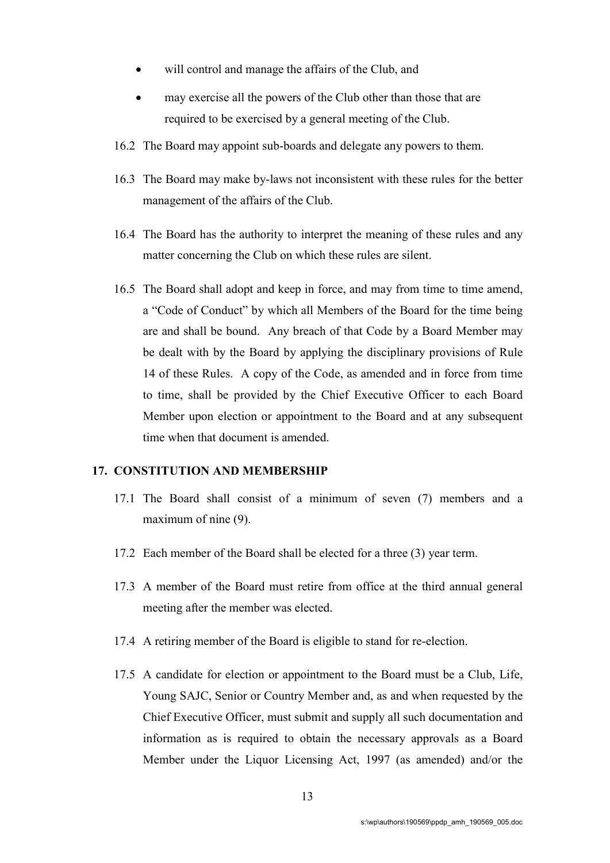- will control and manage the affairs of the Club, and
- may exercise all the powers of the Club other than those that are required to be exercised by a general meeting of the Club.
- 16.2 The Board may appoint sub-boards and delegate any powers to them.
- 16.3 The Board may make by-laws not inconsistent with these rules for the better management of the affairs of the Club.
- 16.4 The Board has the authority to interpret the meaning of these rules and any matter concerning the Club on which these rules are silent.
- 16.5 The Board shall adopt and keep in force, and may from time to time amend, a "Code of Conduct" by which all Members of the Board for the time being are and shall be bound. Any breach of that Code by a Board Member may be dealt with by the Board by applying the disciplinary provisions of Rule 14 of these Rules. A copy of the Code, as amended and in force from time to time, shall be provided by the Chief Executive Officer to each Board Member upon election or appointment to the Board and at any subsequent time when that document is amended.

#### 17. CONSTITUTION AND MEMBERSHIP

- 17.1 The Board shall consist of a minimum of seven (7) members and a maximum of nine (9).
- 17.2 Each member of the Board shall be elected for a three (3) year term.
- 17.3 A member of the Board must retire from office at the third annual general meeting after the member was elected.
- 17.4 A retiring member of the Board is eligible to stand for re-election.
- 17.5 A candidate for election or appointment to the Board must be a Club, Life, Young SAJC, Senior or Country Member and, as and when requested by the Chief Executive Officer, must submit and supply all such documentation and information as is required to obtain the necessary approvals as a Board Member under the Liquor Licensing Act, 1997 (as amended) and/or the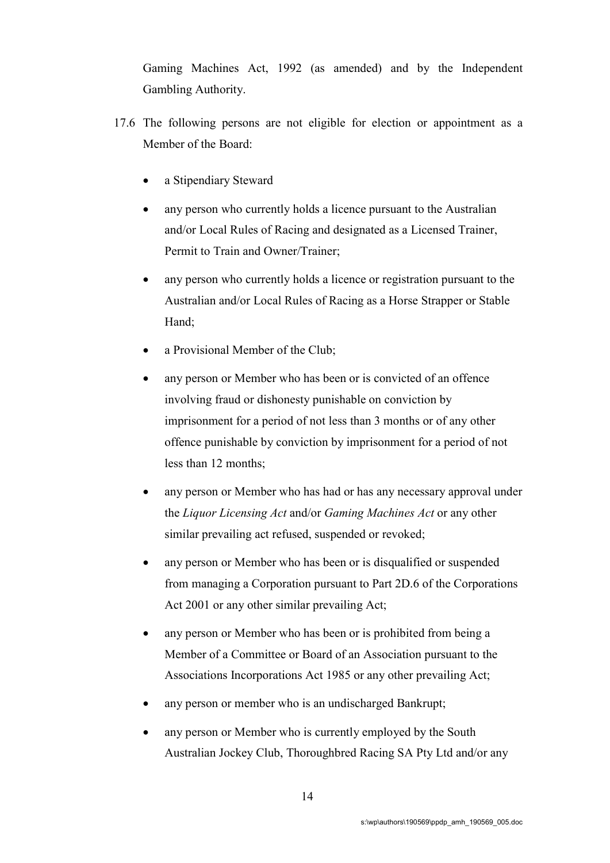Gaming Machines Act, 1992 (as amended) and by the Independent Gambling Authority.

- 17.6 The following persons are not eligible for election or appointment as a Member of the Board:
	- a Stipendiary Steward
	- any person who currently holds a licence pursuant to the Australian and/or Local Rules of Racing and designated as a Licensed Trainer, Permit to Train and Owner/Trainer;
	- any person who currently holds a licence or registration pursuant to the Australian and/or Local Rules of Racing as a Horse Strapper or Stable Hand;
	- a Provisional Member of the Club;
	- any person or Member who has been or is convicted of an offence involving fraud or dishonesty punishable on conviction by imprisonment for a period of not less than 3 months or of any other offence punishable by conviction by imprisonment for a period of not less than 12 months;
	- any person or Member who has had or has any necessary approval under the Liquor Licensing Act and/or Gaming Machines Act or any other similar prevailing act refused, suspended or revoked;
	- any person or Member who has been or is disqualified or suspended from managing a Corporation pursuant to Part 2D.6 of the Corporations Act 2001 or any other similar prevailing Act;
	- any person or Member who has been or is prohibited from being a Member of a Committee or Board of an Association pursuant to the Associations Incorporations Act 1985 or any other prevailing Act;
	- any person or member who is an undischarged Bankrupt;
	- any person or Member who is currently employed by the South Australian Jockey Club, Thoroughbred Racing SA Pty Ltd and/or any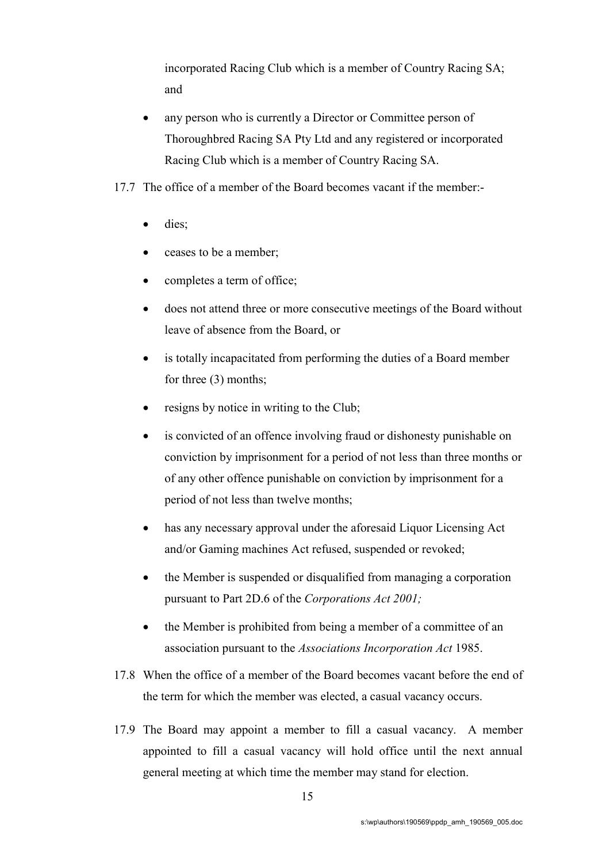incorporated Racing Club which is a member of Country Racing SA; and

- any person who is currently a Director or Committee person of Thoroughbred Racing SA Pty Ltd and any registered or incorporated Racing Club which is a member of Country Racing SA.
- 17.7 The office of a member of the Board becomes vacant if the member:
	- dies;
	- ceases to be a member;
	- completes a term of office;
	- does not attend three or more consecutive meetings of the Board without leave of absence from the Board, or
	- is totally incapacitated from performing the duties of a Board member for three (3) months;
	- resigns by notice in writing to the Club;
	- is convicted of an offence involving fraud or dishonesty punishable on conviction by imprisonment for a period of not less than three months or of any other offence punishable on conviction by imprisonment for a period of not less than twelve months;
	- has any necessary approval under the aforesaid Liquor Licensing Act and/or Gaming machines Act refused, suspended or revoked;
	- the Member is suspended or disqualified from managing a corporation pursuant to Part 2D.6 of the Corporations Act 2001;
	- the Member is prohibited from being a member of a committee of an association pursuant to the Associations Incorporation Act 1985.
- 17.8 When the office of a member of the Board becomes vacant before the end of the term for which the member was elected, a casual vacancy occurs.
- 17.9 The Board may appoint a member to fill a casual vacancy. A member appointed to fill a casual vacancy will hold office until the next annual general meeting at which time the member may stand for election.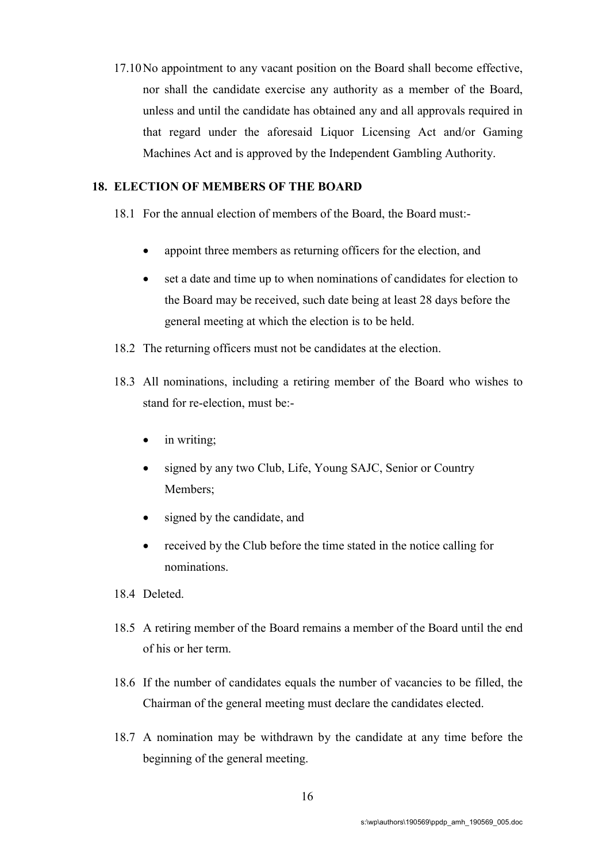17.10No appointment to any vacant position on the Board shall become effective, nor shall the candidate exercise any authority as a member of the Board, unless and until the candidate has obtained any and all approvals required in that regard under the aforesaid Liquor Licensing Act and/or Gaming Machines Act and is approved by the Independent Gambling Authority.

# 18. ELECTION OF MEMBERS OF THE BOARD

- 18.1 For the annual election of members of the Board, the Board must:
	- appoint three members as returning officers for the election, and
	- set a date and time up to when nominations of candidates for election to the Board may be received, such date being at least 28 days before the general meeting at which the election is to be held.
- 18.2 The returning officers must not be candidates at the election.
- 18.3 All nominations, including a retiring member of the Board who wishes to stand for re-election, must be:
	- in writing;
	- signed by any two Club, Life, Young SAJC, Senior or Country Members;
	- signed by the candidate, and
	- received by the Club before the time stated in the notice calling for nominations.
- 18.4 Deleted.
- 18.5 A retiring member of the Board remains a member of the Board until the end of his or her term.
- 18.6 If the number of candidates equals the number of vacancies to be filled, the Chairman of the general meeting must declare the candidates elected.
- 18.7 A nomination may be withdrawn by the candidate at any time before the beginning of the general meeting.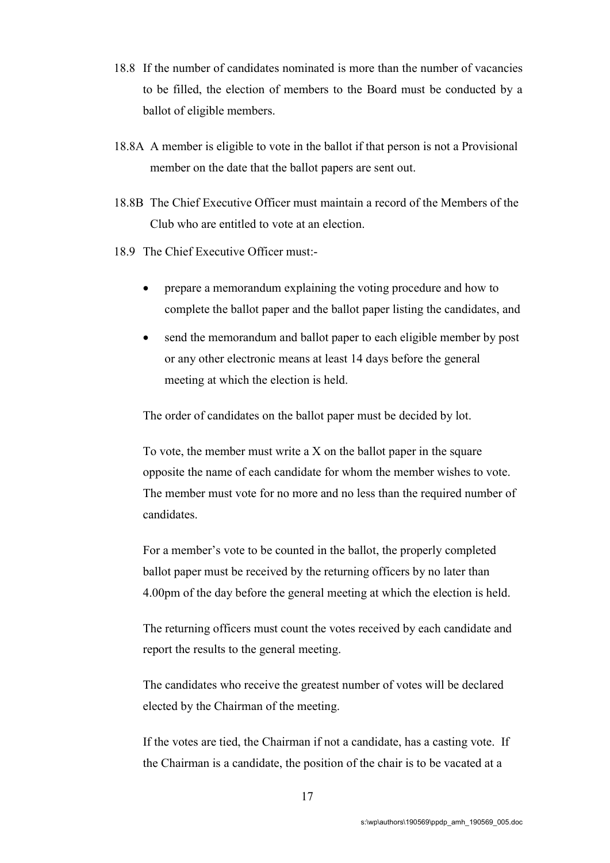- 18.8 If the number of candidates nominated is more than the number of vacancies to be filled, the election of members to the Board must be conducted by a ballot of eligible members.
- 18.8A A member is eligible to vote in the ballot if that person is not a Provisional member on the date that the ballot papers are sent out.
- 18.8B The Chief Executive Officer must maintain a record of the Members of the Club who are entitled to vote at an election.
- 18.9 The Chief Executive Officer must:
	- prepare a memorandum explaining the voting procedure and how to complete the ballot paper and the ballot paper listing the candidates, and
	- send the memorandum and ballot paper to each eligible member by post or any other electronic means at least 14 days before the general meeting at which the election is held.

The order of candidates on the ballot paper must be decided by lot.

To vote, the member must write a X on the ballot paper in the square opposite the name of each candidate for whom the member wishes to vote. The member must vote for no more and no less than the required number of candidates.

For a member's vote to be counted in the ballot, the properly completed ballot paper must be received by the returning officers by no later than 4.00pm of the day before the general meeting at which the election is held.

The returning officers must count the votes received by each candidate and report the results to the general meeting.

The candidates who receive the greatest number of votes will be declared elected by the Chairman of the meeting.

If the votes are tied, the Chairman if not a candidate, has a casting vote. If the Chairman is a candidate, the position of the chair is to be vacated at a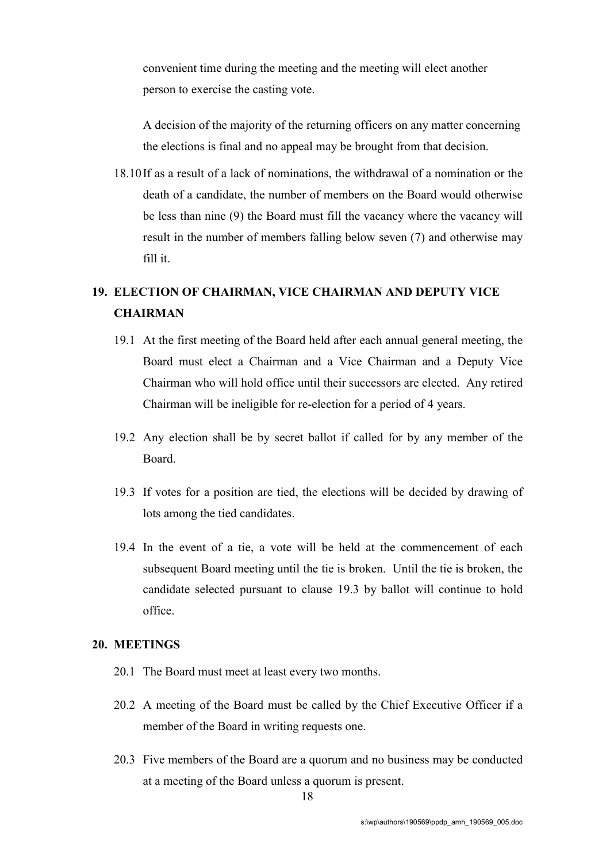convenient time during the meeting and the meeting will elect another person to exercise the casting vote.

A decision of the majority of the returning officers on any matter concerning the elections is final and no appeal may be brought from that decision.

18.10If as a result of a lack of nominations, the withdrawal of a nomination or the death of a candidate, the number of members on the Board would otherwise be less than nine (9) the Board must fill the vacancy where the vacancy will result in the number of members falling below seven (7) and otherwise may fill it.

# 19. ELECTION OF CHAIRMAN, VICE CHAIRMAN AND DEPUTY VICE **CHAIRMAN**

- 19.1 At the first meeting of the Board held after each annual general meeting, the Board must elect a Chairman and a Vice Chairman and a Deputy Vice Chairman who will hold office until their successors are elected. Any retired Chairman will be ineligible for re-election for a period of 4 years.
- 19.2 Any election shall be by secret ballot if called for by any member of the Board.
- 19.3 If votes for a position are tied, the elections will be decided by drawing of lots among the tied candidates.
- 19.4 In the event of a tie, a vote will be held at the commencement of each subsequent Board meeting until the tie is broken. Until the tie is broken, the candidate selected pursuant to clause 19.3 by ballot will continue to hold office.

### 20. MEETINGS

- 20.1 The Board must meet at least every two months.
- 20.2 A meeting of the Board must be called by the Chief Executive Officer if a member of the Board in writing requests one.
- 20.3 Five members of the Board are a quorum and no business may be conducted at a meeting of the Board unless a quorum is present.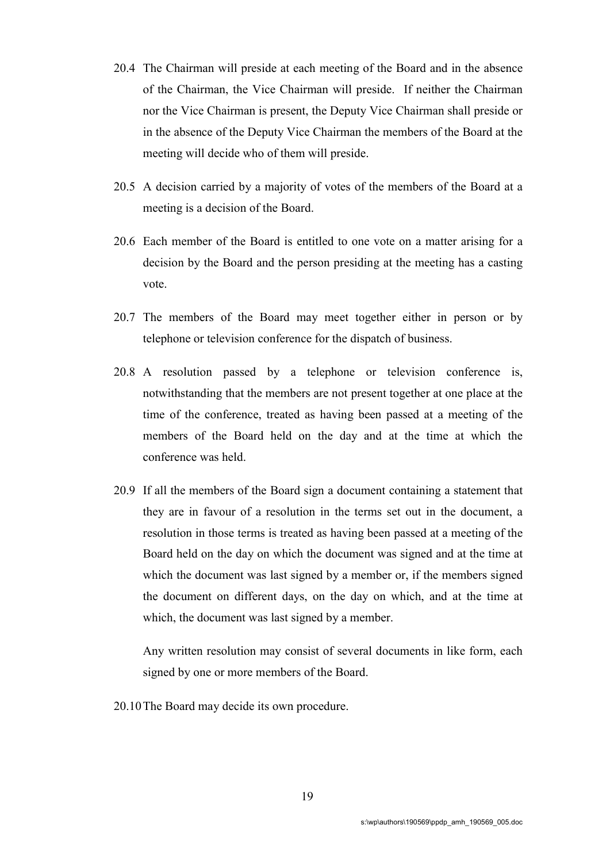- 20.4 The Chairman will preside at each meeting of the Board and in the absence of the Chairman, the Vice Chairman will preside. If neither the Chairman nor the Vice Chairman is present, the Deputy Vice Chairman shall preside or in the absence of the Deputy Vice Chairman the members of the Board at the meeting will decide who of them will preside.
- 20.5 A decision carried by a majority of votes of the members of the Board at a meeting is a decision of the Board.
- 20.6 Each member of the Board is entitled to one vote on a matter arising for a decision by the Board and the person presiding at the meeting has a casting vote.
- 20.7 The members of the Board may meet together either in person or by telephone or television conference for the dispatch of business.
- 20.8 A resolution passed by a telephone or television conference is, notwithstanding that the members are not present together at one place at the time of the conference, treated as having been passed at a meeting of the members of the Board held on the day and at the time at which the conference was held.
- 20.9 If all the members of the Board sign a document containing a statement that they are in favour of a resolution in the terms set out in the document, a resolution in those terms is treated as having been passed at a meeting of the Board held on the day on which the document was signed and at the time at which the document was last signed by a member or, if the members signed the document on different days, on the day on which, and at the time at which, the document was last signed by a member.

Any written resolution may consist of several documents in like form, each signed by one or more members of the Board.

20.10The Board may decide its own procedure.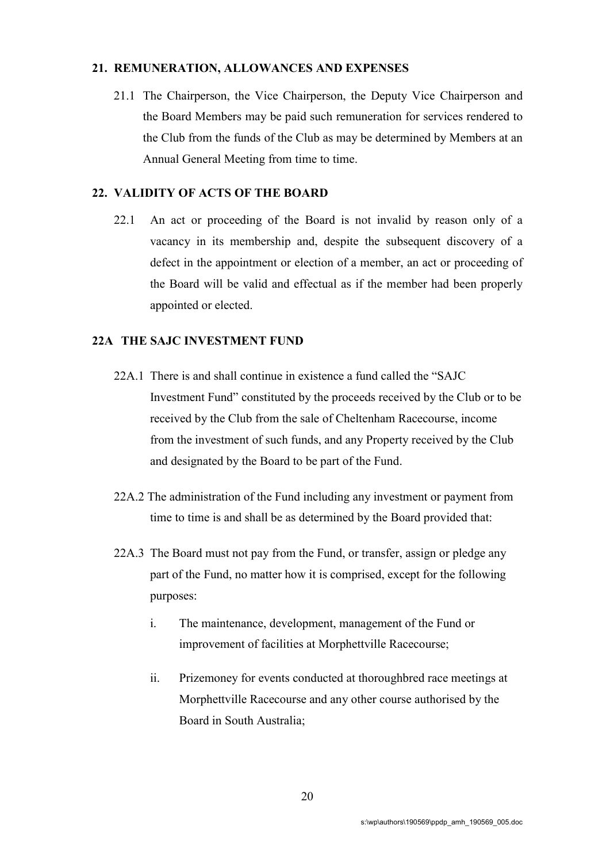#### 21. REMUNERATION, ALLOWANCES AND EXPENSES

21.1 The Chairperson, the Vice Chairperson, the Deputy Vice Chairperson and the Board Members may be paid such remuneration for services rendered to the Club from the funds of the Club as may be determined by Members at an Annual General Meeting from time to time.

#### 22. VALIDITY OF ACTS OF THE BOARD

22.1 An act or proceeding of the Board is not invalid by reason only of a vacancy in its membership and, despite the subsequent discovery of a defect in the appointment or election of a member, an act or proceeding of the Board will be valid and effectual as if the member had been properly appointed or elected.

#### 22A THE SAJC INVESTMENT FUND

- 22A.1 There is and shall continue in existence a fund called the "SAJC Investment Fund" constituted by the proceeds received by the Club or to be received by the Club from the sale of Cheltenham Racecourse, income from the investment of such funds, and any Property received by the Club and designated by the Board to be part of the Fund.
- 22A.2 The administration of the Fund including any investment or payment from time to time is and shall be as determined by the Board provided that:
- 22A.3 The Board must not pay from the Fund, or transfer, assign or pledge any part of the Fund, no matter how it is comprised, except for the following purposes:
	- i. The maintenance, development, management of the Fund or improvement of facilities at Morphettville Racecourse;
	- ii. Prizemoney for events conducted at thoroughbred race meetings at Morphettville Racecourse and any other course authorised by the Board in South Australia;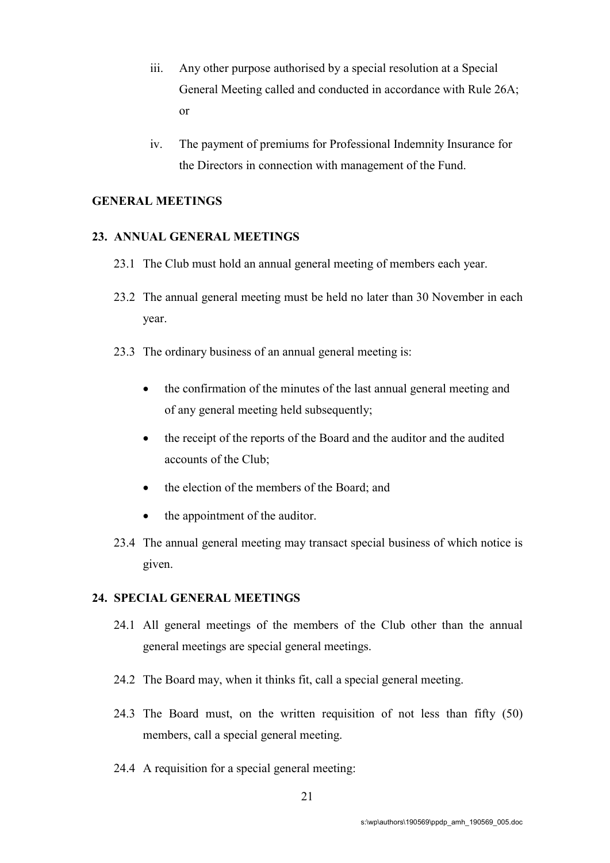- iii. Any other purpose authorised by a special resolution at a Special General Meeting called and conducted in accordance with Rule 26A; or
- iv. The payment of premiums for Professional Indemnity Insurance for the Directors in connection with management of the Fund.

#### GENERAL MEETINGS

## 23. ANNUAL GENERAL MEETINGS

- 23.1 The Club must hold an annual general meeting of members each year.
- 23.2 The annual general meeting must be held no later than 30 November in each year.
- 23.3 The ordinary business of an annual general meeting is:
	- the confirmation of the minutes of the last annual general meeting and of any general meeting held subsequently;
	- the receipt of the reports of the Board and the auditor and the audited accounts of the Club;
	- the election of the members of the Board; and
	- the appointment of the auditor.
- 23.4 The annual general meeting may transact special business of which notice is given.

#### 24. SPECIAL GENERAL MEETINGS

- 24.1 All general meetings of the members of the Club other than the annual general meetings are special general meetings.
- 24.2 The Board may, when it thinks fit, call a special general meeting.
- 24.3 The Board must, on the written requisition of not less than fifty (50) members, call a special general meeting.
- 24.4 A requisition for a special general meeting: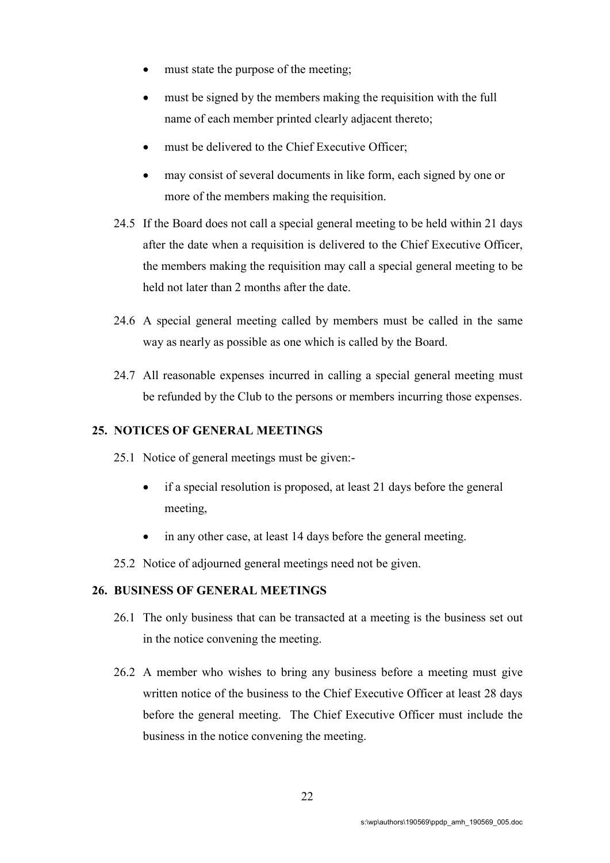- must state the purpose of the meeting;
- must be signed by the members making the requisition with the full name of each member printed clearly adjacent thereto;
- must be delivered to the Chief Executive Officer;
- may consist of several documents in like form, each signed by one or more of the members making the requisition.
- 24.5 If the Board does not call a special general meeting to be held within 21 days after the date when a requisition is delivered to the Chief Executive Officer, the members making the requisition may call a special general meeting to be held not later than 2 months after the date.
- 24.6 A special general meeting called by members must be called in the same way as nearly as possible as one which is called by the Board.
- 24.7 All reasonable expenses incurred in calling a special general meeting must be refunded by the Club to the persons or members incurring those expenses.

# 25. NOTICES OF GENERAL MEETINGS

- 25.1 Notice of general meetings must be given:
	- if a special resolution is proposed, at least 21 days before the general meeting,
	- in any other case, at least 14 days before the general meeting.
- 25.2 Notice of adjourned general meetings need not be given.

#### 26. BUSINESS OF GENERAL MEETINGS

- 26.1 The only business that can be transacted at a meeting is the business set out in the notice convening the meeting.
- 26.2 A member who wishes to bring any business before a meeting must give written notice of the business to the Chief Executive Officer at least 28 days before the general meeting. The Chief Executive Officer must include the business in the notice convening the meeting.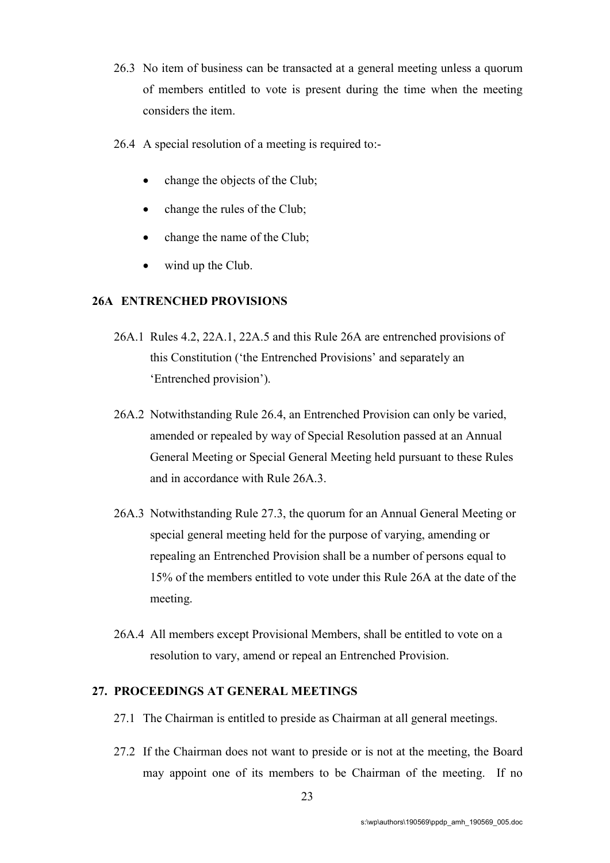- 26.3 No item of business can be transacted at a general meeting unless a quorum of members entitled to vote is present during the time when the meeting considers the item.
- 26.4 A special resolution of a meeting is required to:
	- change the objects of the Club;
	- change the rules of the Club;
	- change the name of the Club;
	- wind up the Club.

# 26A ENTRENCHED PROVISIONS

- 26A.1 Rules 4.2, 22A.1, 22A.5 and this Rule 26A are entrenched provisions of this Constitution ('the Entrenched Provisions' and separately an 'Entrenched provision').
- 26A.2 Notwithstanding Rule 26.4, an Entrenched Provision can only be varied, amended or repealed by way of Special Resolution passed at an Annual General Meeting or Special General Meeting held pursuant to these Rules and in accordance with Rule 26A.3.
- 26A.3 Notwithstanding Rule 27.3, the quorum for an Annual General Meeting or special general meeting held for the purpose of varying, amending or repealing an Entrenched Provision shall be a number of persons equal to 15% of the members entitled to vote under this Rule 26A at the date of the meeting.
- 26A.4 All members except Provisional Members, shall be entitled to vote on a resolution to vary, amend or repeal an Entrenched Provision.

# 27. PROCEEDINGS AT GENERAL MEETINGS

- 27.1 The Chairman is entitled to preside as Chairman at all general meetings.
- 27.2 If the Chairman does not want to preside or is not at the meeting, the Board may appoint one of its members to be Chairman of the meeting. If no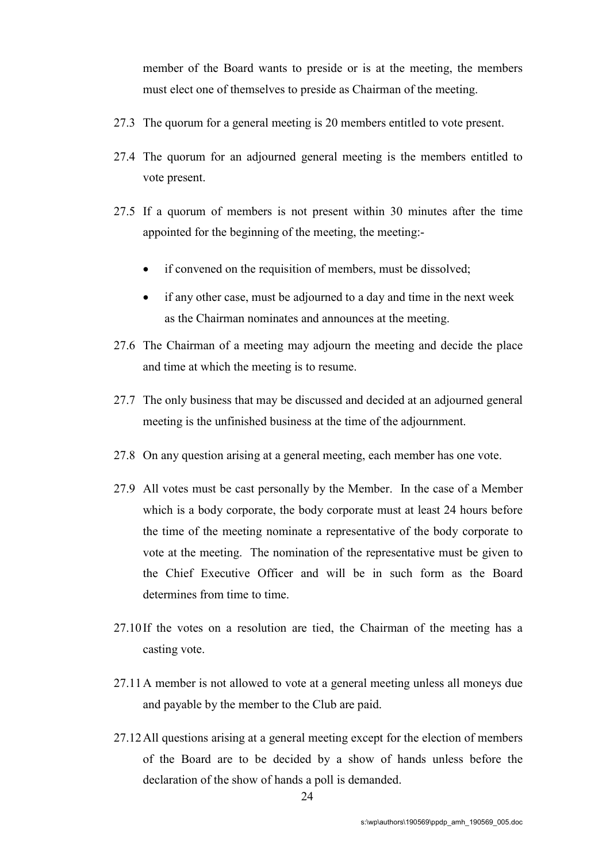member of the Board wants to preside or is at the meeting, the members must elect one of themselves to preside as Chairman of the meeting.

- 27.3 The quorum for a general meeting is 20 members entitled to vote present.
- 27.4 The quorum for an adjourned general meeting is the members entitled to vote present.
- 27.5 If a quorum of members is not present within 30 minutes after the time appointed for the beginning of the meeting, the meeting:-
	- if convened on the requisition of members, must be dissolved;
	- if any other case, must be adjourned to a day and time in the next week as the Chairman nominates and announces at the meeting.
- 27.6 The Chairman of a meeting may adjourn the meeting and decide the place and time at which the meeting is to resume.
- 27.7 The only business that may be discussed and decided at an adjourned general meeting is the unfinished business at the time of the adjournment.
- 27.8 On any question arising at a general meeting, each member has one vote.
- 27.9 All votes must be cast personally by the Member. In the case of a Member which is a body corporate, the body corporate must at least 24 hours before the time of the meeting nominate a representative of the body corporate to vote at the meeting. The nomination of the representative must be given to the Chief Executive Officer and will be in such form as the Board determines from time to time.
- 27.10If the votes on a resolution are tied, the Chairman of the meeting has a casting vote.
- 27.11A member is not allowed to vote at a general meeting unless all moneys due and payable by the member to the Club are paid.
- 27.12All questions arising at a general meeting except for the election of members of the Board are to be decided by a show of hands unless before the declaration of the show of hands a poll is demanded.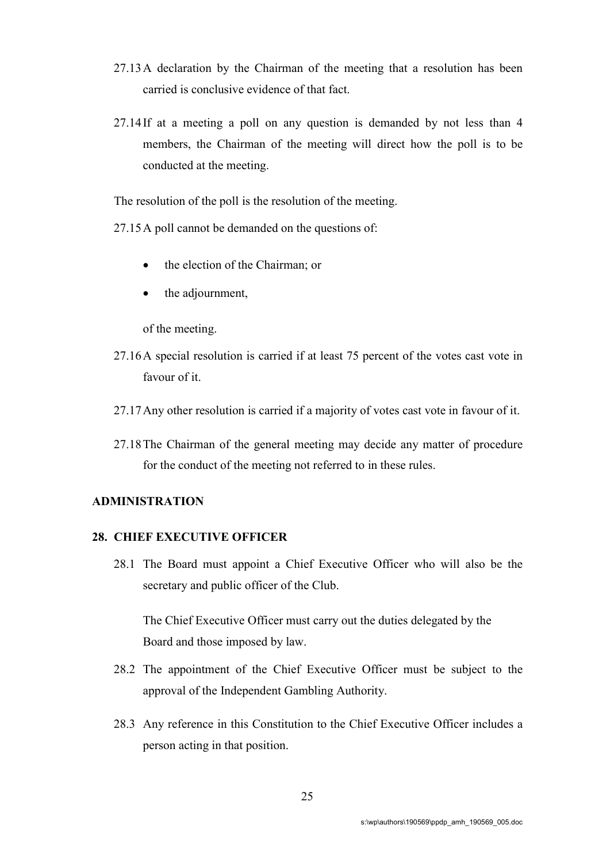- 27.13A declaration by the Chairman of the meeting that a resolution has been carried is conclusive evidence of that fact.
- 27.14If at a meeting a poll on any question is demanded by not less than 4 members, the Chairman of the meeting will direct how the poll is to be conducted at the meeting.

The resolution of the poll is the resolution of the meeting.

27.15A poll cannot be demanded on the questions of:

- the election of the Chairman; or
- the adjournment,

of the meeting.

- 27.16A special resolution is carried if at least 75 percent of the votes cast vote in favour of it.
- 27.17Any other resolution is carried if a majority of votes cast vote in favour of it.
- 27.18The Chairman of the general meeting may decide any matter of procedure for the conduct of the meeting not referred to in these rules.

# ADMINISTRATION

#### 28. CHIEF EXECUTIVE OFFICER

28.1 The Board must appoint a Chief Executive Officer who will also be the secretary and public officer of the Club.

The Chief Executive Officer must carry out the duties delegated by the Board and those imposed by law.

- 28.2 The appointment of the Chief Executive Officer must be subject to the approval of the Independent Gambling Authority.
- 28.3 Any reference in this Constitution to the Chief Executive Officer includes a person acting in that position.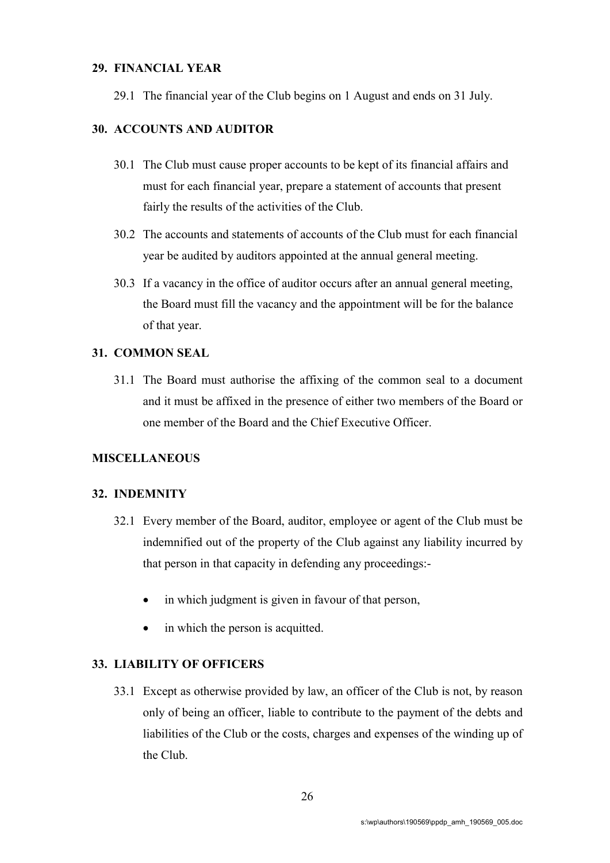#### 29. FINANCIAL YEAR

29.1 The financial year of the Club begins on 1 August and ends on 31 July.

# 30. ACCOUNTS AND AUDITOR

- 30.1 The Club must cause proper accounts to be kept of its financial affairs and must for each financial year, prepare a statement of accounts that present fairly the results of the activities of the Club.
- 30.2 The accounts and statements of accounts of the Club must for each financial year be audited by auditors appointed at the annual general meeting.
- 30.3 If a vacancy in the office of auditor occurs after an annual general meeting, the Board must fill the vacancy and the appointment will be for the balance of that year.

#### 31. COMMON SEAL

31.1 The Board must authorise the affixing of the common seal to a document and it must be affixed in the presence of either two members of the Board or one member of the Board and the Chief Executive Officer.

# **MISCELLANEOUS**

#### 32. INDEMNITY

- 32.1 Every member of the Board, auditor, employee or agent of the Club must be indemnified out of the property of the Club against any liability incurred by that person in that capacity in defending any proceedings:
	- in which judgment is given in favour of that person,
	- in which the person is acquitted.

#### 33. LIABILITY OF OFFICERS

33.1 Except as otherwise provided by law, an officer of the Club is not, by reason only of being an officer, liable to contribute to the payment of the debts and liabilities of the Club or the costs, charges and expenses of the winding up of the Club.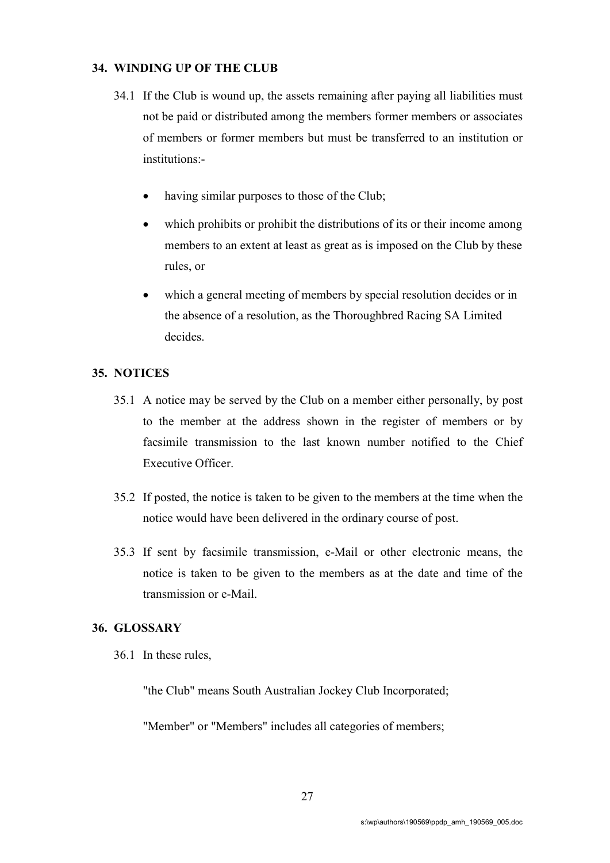#### 34. WINDING UP OF THE CLUB

- 34.1 If the Club is wound up, the assets remaining after paying all liabilities must not be paid or distributed among the members former members or associates of members or former members but must be transferred to an institution or institutions:
	- having similar purposes to those of the Club;
	- which prohibits or prohibit the distributions of its or their income among members to an extent at least as great as is imposed on the Club by these rules, or
	- which a general meeting of members by special resolution decides or in the absence of a resolution, as the Thoroughbred Racing SA Limited decides.

#### 35. NOTICES

- 35.1 A notice may be served by the Club on a member either personally, by post to the member at the address shown in the register of members or by facsimile transmission to the last known number notified to the Chief Executive Officer.
- 35.2 If posted, the notice is taken to be given to the members at the time when the notice would have been delivered in the ordinary course of post.
- 35.3 If sent by facsimile transmission, e-Mail or other electronic means, the notice is taken to be given to the members as at the date and time of the transmission or e-Mail.

#### 36. GLOSSARY

36.1 In these rules,

"the Club" means South Australian Jockey Club Incorporated;

"Member" or "Members" includes all categories of members;